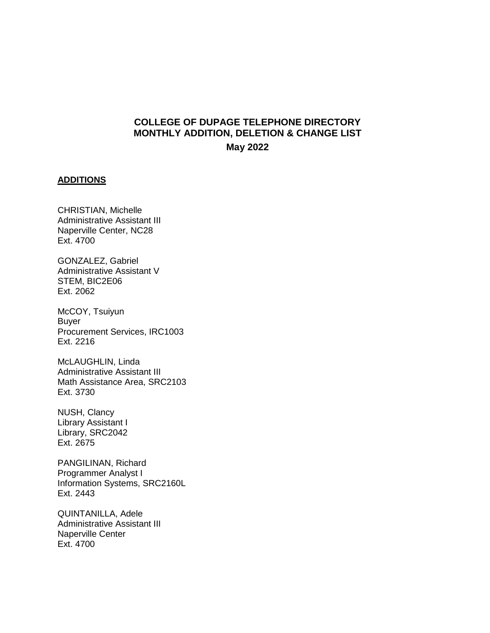## **COLLEGE OF DUPAGE TELEPHONE DIRECTORY MONTHLY ADDITION, DELETION & CHANGE LIST May 2022**

#### **ADDITIONS**

CHRISTIAN, Michelle Administrative Assistant III Naperville Center, NC28 Ext. 4700

GONZALEZ, Gabriel Administrative Assistant V STEM, BIC2E06 Ext. 2062

McCOY, Tsuiyun Buyer Procurement Services, IRC1003 Ext. 2216

McLAUGHLIN, Linda Administrative Assistant III Math Assistance Area, SRC2103 Ext. 3730

NUSH, Clancy Library Assistant I Library, SRC2042 Ext. 2675

PANGILINAN, Richard Programmer Analyst I Information Systems, SRC2160L Ext. 2443

QUINTANILLA, Adele Administrative Assistant III Naperville Center Ext. 4700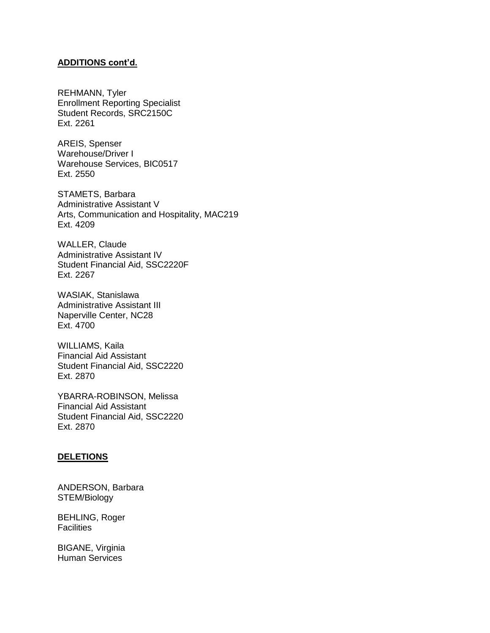### **ADDITIONS cont'd.**

REHMANN, Tyler Enrollment Reporting Specialist Student Records, SRC2150C Ext. 2261

AREIS, Spenser Warehouse/Driver I Warehouse Services, BIC0517 Ext. 2550

STAMETS, Barbara Administrative Assistant V Arts, Communication and Hospitality, MAC219 Ext. 4209

WALLER, Claude Administrative Assistant IV Student Financial Aid, SSC2220F Ext. 2267

WASIAK, Stanislawa Administrative Assistant III Naperville Center, NC28 Ext. 4700

WILLIAMS, Kaila Financial Aid Assistant Student Financial Aid, SSC2220 Ext. 2870

YBARRA-ROBINSON, Melissa Financial Aid Assistant Student Financial Aid, SSC2220 Ext. 2870

### **DELETIONS**

ANDERSON, Barbara STEM/Biology

BEHLING, Roger **Facilities** 

BIGANE, Virginia Human Services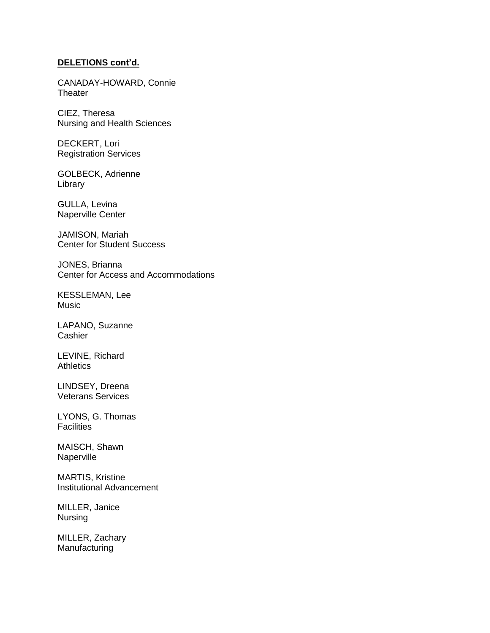#### **DELETIONS cont'd.**

CANADAY-HOWARD, Connie **Theater** 

CIEZ, Theresa Nursing and Health Sciences

DECKERT, Lori Registration Services

GOLBECK, Adrienne Library

GULLA, Levina Naperville Center

JAMISON, Mariah Center for Student Success

JONES, Brianna Center for Access and Accommodations

KESSLEMAN, Lee Music

LAPANO, Suzanne **Cashier** 

LEVINE, Richard **Athletics** 

LINDSEY, Dreena Veterans Services

LYONS, G. Thomas **Facilities** 

MAISCH, Shawn Naperville

MARTIS, Kristine Institutional Advancement

MILLER, Janice Nursing

MILLER, Zachary Manufacturing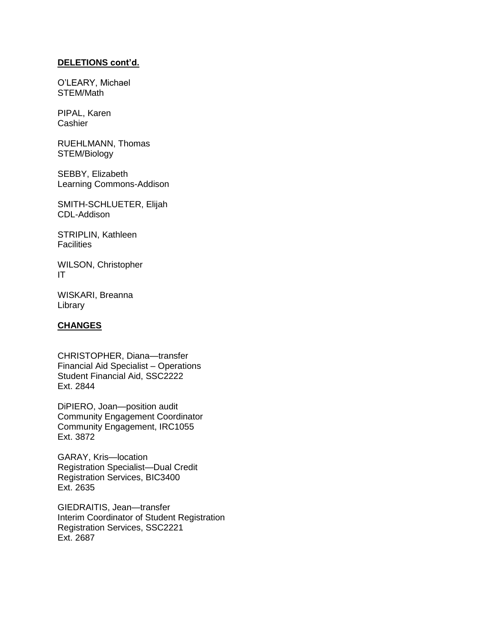### **DELETIONS cont'd.**

O'LEARY, Michael STEM/Math

PIPAL, Karen **Cashier** 

RUEHLMANN, Thomas STEM/Biology

SEBBY, Elizabeth Learning Commons-Addison

SMITH-SCHLUETER, Elijah CDL-Addison

STRIPLIN, Kathleen **Facilities** 

WILSON, Christopher IT

WISKARI, Breanna Library

### **CHANGES**

CHRISTOPHER, Diana—transfer Financial Aid Specialist – Operations Student Financial Aid, SSC2222 Ext. 2844

DiPIERO, Joan—position audit Community Engagement Coordinator Community Engagement, IRC1055 Ext. 3872

GARAY, Kris—location Registration Specialist—Dual Credit Registration Services, BIC3400 Ext. 2635

GIEDRAITIS, Jean—transfer Interim Coordinator of Student Registration Registration Services, SSC2221 Ext. 2687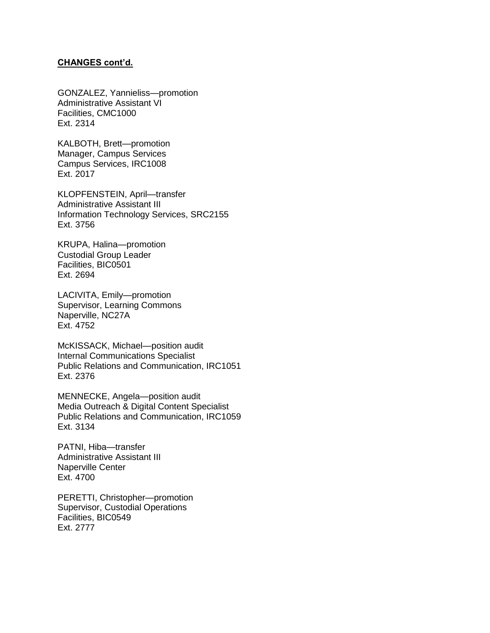#### **CHANGES cont'd.**

GONZALEZ, Yannieliss—promotion Administrative Assistant VI Facilities, CMC1000 Ext. 2314

KALBOTH, Brett—promotion Manager, Campus Services Campus Services, IRC1008 Ext. 2017

KLOPFENSTEIN, April—transfer Administrative Assistant III Information Technology Services, SRC2155 Ext. 3756

KRUPA, Halina—promotion Custodial Group Leader Facilities, BIC0501 Ext. 2694

LACIVITA, Emily—promotion Supervisor, Learning Commons Naperville, NC27A Ext. 4752

McKISSACK, Michael—position audit Internal Communications Specialist Public Relations and Communication, IRC1051 Ext. 2376

MENNECKE, Angela—position audit Media Outreach & Digital Content Specialist Public Relations and Communication, IRC1059 Ext. 3134

PATNI, Hiba—transfer Administrative Assistant III Naperville Center Ext. 4700

PERETTI, Christopher—promotion Supervisor, Custodial Operations Facilities, BIC0549 Ext. 2777